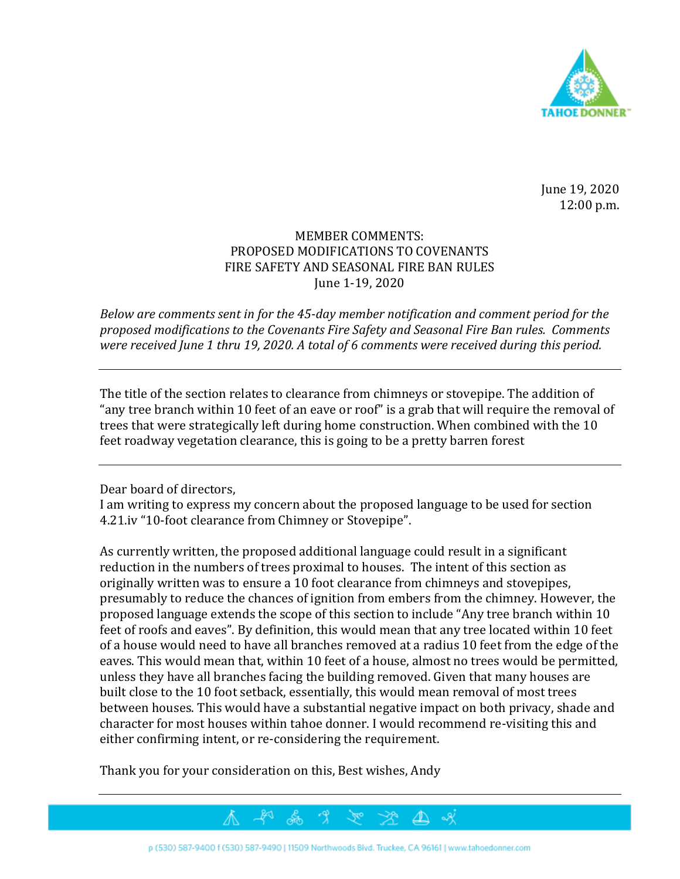

June 19, 2020 12:00 p.m.

## MEMBER COMMENTS: PROPOSED MODIFICATIONS TO COVENANTS FIRE SAFETY AND SEASONAL FIRE BAN RULES June 1-19, 2020

*Below are comments sent in for the 45-day member notification and comment period for the proposed modifications to the Covenants Fire Safety and Seasonal Fire Ban rules. Comments were received June 1 thru 19, 2020. A total of 6 comments were received during this period.* 

The title of the section relates to clearance from chimneys or stovepipe. The addition of "any tree branch within 10 feet of an eave or roof" is a grab that will require the removal of trees that were strategically left during home construction. When combined with the 10 feet roadway vegetation clearance, this is going to be a pretty barren forest

Dear board of directors,

I am writing to express my concern about the proposed language to be used for section 4.21.iv "10-foot clearance from Chimney or Stovepipe".

As currently written, the proposed additional language could result in a significant reduction in the numbers of trees proximal to houses. The intent of this section as originally written was to ensure a 10 foot clearance from chimneys and stovepipes, presumably to reduce the chances of ignition from embers from the chimney. However, the proposed language extends the scope of this section to include "Any tree branch within 10 feet of roofs and eaves". By definition, this would mean that any tree located within 10 feet of a house would need to have all branches removed at a radius 10 feet from the edge of the eaves. This would mean that, within 10 feet of a house, almost no trees would be permitted, unless they have all branches facing the building removed. Given that many houses are built close to the 10 foot setback, essentially, this would mean removal of most trees between houses. This would have a substantial negative impact on both privacy, shade and character for most houses within tahoe donner. I would recommend re-visiting this and either confirming intent, or re-considering the requirement.

Thank you for your consideration on this, Best wishes, Andy

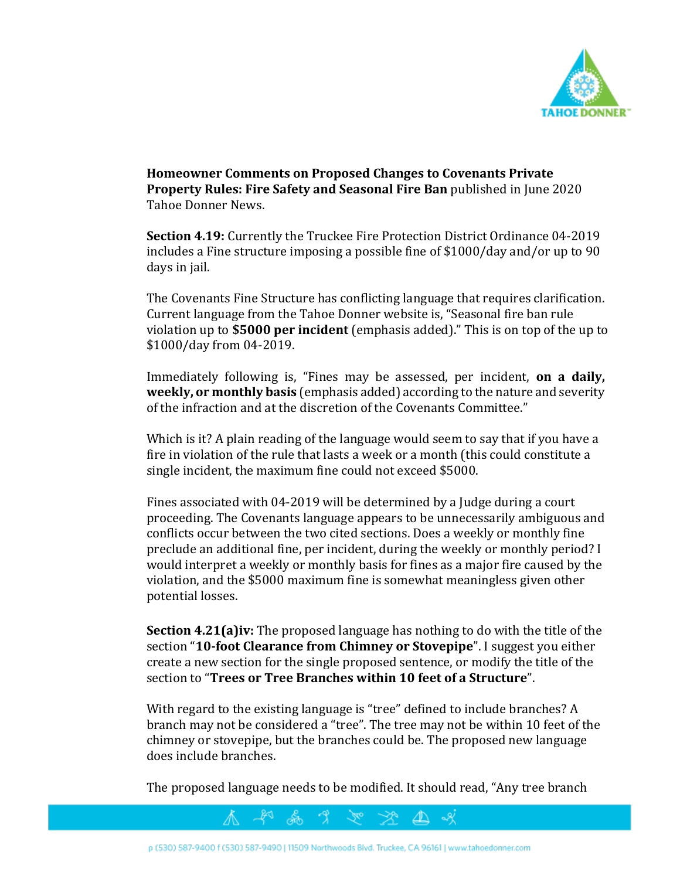

**Homeowner Comments on Proposed Changes to Covenants Private Property Rules: Fire Safety and Seasonal Fire Ban** published in June 2020 Tahoe Donner News.

**Section 4.19:** Currently the Truckee Fire Protection District Ordinance 04-2019 includes a Fine structure imposing a possible fine of \$1000/day and/or up to 90 days in jail.

The Covenants Fine Structure has conflicting language that requires clarification. Current language from the Tahoe Donner website is, "Seasonal fire ban rule violation up to **\$5000 per incident** (emphasis added)." This is on top of the up to \$1000/day from 04-2019.

Immediately following is, "Fines may be assessed, per incident, **on a daily, weekly, or monthly basis** (emphasis added) according to the nature and severity of the infraction and at the discretion of the Covenants Committee."

Which is it? A plain reading of the language would seem to say that if you have a fire in violation of the rule that lasts a week or a month (this could constitute a single incident, the maximum fine could not exceed \$5000.

Fines associated with 04-2019 will be determined by a Judge during a court proceeding. The Covenants language appears to be unnecessarily ambiguous and conflicts occur between the two cited sections. Does a weekly or monthly fine preclude an additional fine, per incident, during the weekly or monthly period? I would interpret a weekly or monthly basis for fines as a major fire caused by the violation, and the \$5000 maximum fine is somewhat meaningless given other potential losses.

**Section 4.21(a)iv:** The proposed language has nothing to do with the title of the section "**10-foot Clearance from Chimney or Stovepipe**". I suggest you either create a new section for the single proposed sentence, or modify the title of the section to "**Trees or Tree Branches within 10 feet of a Structure**".

With regard to the existing language is "tree" defined to include branches? A branch may not be considered a "tree". The tree may not be within 10 feet of the chimney or stovepipe, but the branches could be. The proposed new language does include branches.

The proposed language needs to be modified. It should read, "Any tree branch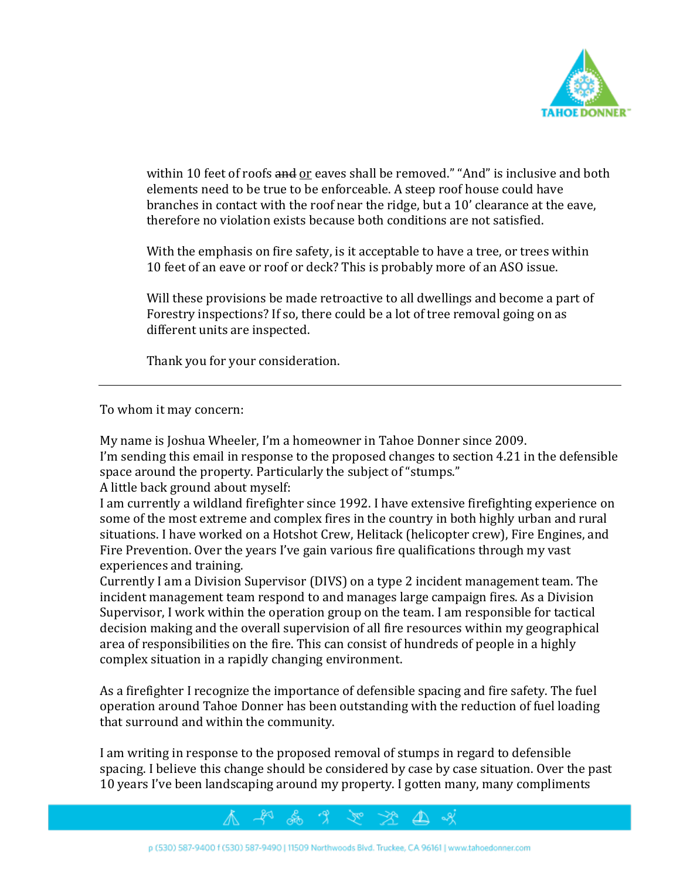

within 10 feet of roofs and or eaves shall be removed." "And" is inclusive and both elements need to be true to be enforceable. A steep roof house could have branches in contact with the roof near the ridge, but a 10' clearance at the eave, therefore no violation exists because both conditions are not satisfied.

With the emphasis on fire safety, is it acceptable to have a tree, or trees within 10 feet of an eave or roof or deck? This is probably more of an ASO issue.

Will these provisions be made retroactive to all dwellings and become a part of Forestry inspections? If so, there could be a lot of tree removal going on as different units are inspected.

Thank you for your consideration.

To whom it may concern:

My name is Joshua Wheeler, I'm a homeowner in Tahoe Donner since 2009. I'm sending this email in response to the proposed changes to section 4.21 in the defensible space around the property. Particularly the subject of "stumps." A little back ground about myself:

I am currently a wildland firefighter since 1992. I have extensive firefighting experience on some of the most extreme and complex fires in the country in both highly urban and rural situations. I have worked on a Hotshot Crew, Helitack (helicopter crew), Fire Engines, and Fire Prevention. Over the years I've gain various fire qualifications through my vast experiences and training.

Currently I am a Division Supervisor (DIVS) on a type 2 incident management team. The incident management team respond to and manages large campaign fires. As a Division Supervisor, I work within the operation group on the team. I am responsible for tactical decision making and the overall supervision of all fire resources within my geographical area of responsibilities on the fire. This can consist of hundreds of people in a highly complex situation in a rapidly changing environment.

As a firefighter I recognize the importance of defensible spacing and fire safety. The fuel operation around Tahoe Donner has been outstanding with the reduction of fuel loading that surround and within the community.

I am writing in response to the proposed removal of stumps in regard to defensible spacing. I believe this change should be considered by case by case situation. Over the past 10 years I've been landscaping around my property. I gotten many, many compliments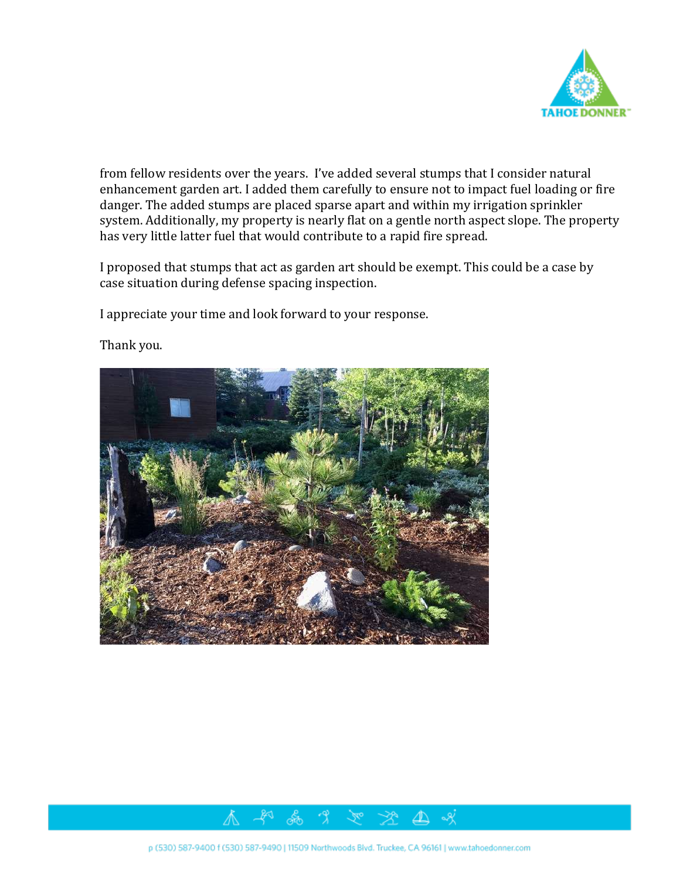

from fellow residents over the years. I've added several stumps that I consider natural enhancement garden art. I added them carefully to ensure not to impact fuel loading or fire danger. The added stumps are placed sparse apart and within my irrigation sprinkler system. Additionally, my property is nearly flat on a gentle north aspect slope. The property has very little latter fuel that would contribute to a rapid fire spread.

I proposed that stumps that act as garden art should be exempt. This could be a case by case situation during defense spacing inspection.

I appreciate your time and look forward to your response.



Thank you.

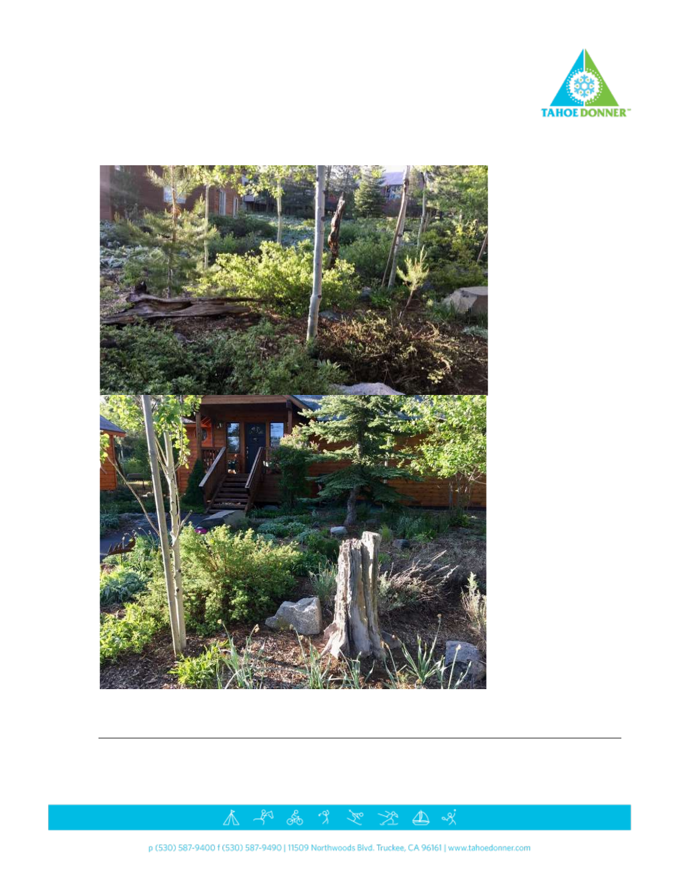





p (530) 587-9400 f (530) 587-9490 | 11509 Northwoods Blvd. Truckee, CA 96161 | www.tahoedonner.com